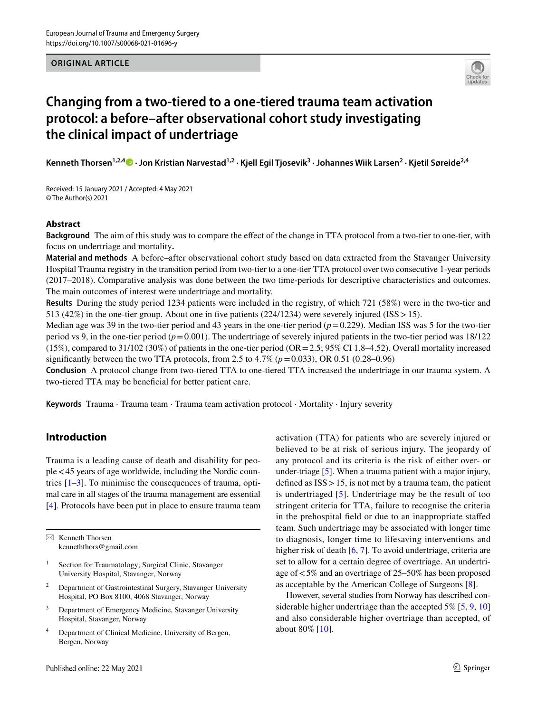#### **ORIGINAL ARTICLE**



# **Changing from a two‑tiered to a one‑tiered trauma team activation protocol: a before–after observational cohort study investigating the clinical impact of undertriage**

**Kenneth Thorsen1,2,4  [·](http://orcid.org/0000-0003-4291-8437) Jon Kristian Narvestad1,2 · Kjell Egil Tjosevik3 · Johannes Wiik Larsen2 · Kjetil Søreide2,4**

Received: 15 January 2021 / Accepted: 4 May 2021 © The Author(s) 2021

#### **Abstract**

**Background** The aim of this study was to compare the efect of the change in TTA protocol from a two-tier to one-tier, with focus on undertriage and mortality**.**

**Material and methods** A before–after observational cohort study based on data extracted from the Stavanger University Hospital Trauma registry in the transition period from two-tier to a one-tier TTA protocol over two consecutive 1-year periods (2017–2018). Comparative analysis was done between the two time-periods for descriptive characteristics and outcomes. The main outcomes of interest were undertriage and mortality.

**Results** During the study period 1234 patients were included in the registry, of which 721 (58%) were in the two-tier and 513 (42%) in the one-tier group. About one in fve patients (224/1234) were severely injured (ISS>15).

Median age was 39 in the two-tier period and 43 years in the one-tier period  $(p=0.229)$ . Median ISS was 5 for the two-tier period vs 9, in the one-tier period  $(p=0.001)$ . The undertriage of severely injured patients in the two-tier period was  $18/122$  $(15\%)$ , compared to 31/102 (30%) of patients in the one-tier period (OR = 2.5; 95% CI 1.8–4.52). Overall mortality increased signifcantly between the two TTA protocols, from 2.5 to 4.7% (*p*=0.033), OR 0.51 (0.28–0.96)

**Conclusion** A protocol change from two-tiered TTA to one-tiered TTA increased the undertriage in our trauma system. A two-tiered TTA may be beneficial for better patient care.

**Keywords** Trauma · Trauma team · Trauma team activation protocol · Mortality · Injury severity

# **Introduction**

Trauma is a leading cause of death and disability for people<45 years of age worldwide, including the Nordic countries [[1–](#page-8-0)[3\]](#page-8-1). To minimise the consequences of trauma, optimal care in all stages of the trauma management are essential [\[4](#page-8-2)]. Protocols have been put in place to ensure trauma team

 $\boxtimes$  Kenneth Thorsen kenneththors@gmail.com

- <sup>1</sup> Section for Traumatology; Surgical Clinic, Stavanger University Hospital, Stavanger, Norway
- <sup>2</sup> Department of Gastrointestinal Surgery, Stavanger University Hospital, PO Box 8100, 4068 Stavanger, Norway
- <sup>3</sup> Department of Emergency Medicine, Stavanger University Hospital, Stavanger, Norway
- <sup>4</sup> Department of Clinical Medicine, University of Bergen, Bergen, Norway

Published online: 22 May 2021

activation (TTA) for patients who are severely injured or believed to be at risk of serious injury. The jeopardy of any protocol and its criteria is the risk of either over- or under-triage [\[5](#page-8-3)]. When a trauma patient with a major injury, defned as ISS>15, is not met by a trauma team, the patient is undertriaged [[5](#page-8-3)]. Undertriage may be the result of too stringent criteria for TTA, failure to recognise the criteria in the prehospital feld or due to an inappropriate stafed team. Such undertriage may be associated with longer time to diagnosis, longer time to lifesaving interventions and higher risk of death [[6,](#page-8-4) [7\]](#page-8-5). To avoid undertriage, criteria are set to allow for a certain degree of overtriage. An undertriage of<5% and an overtriage of 25–50% has been proposed as acceptable by the American College of Surgeons [[8\]](#page-8-6).

However, several studies from Norway has described con-siderable higher undertriage than the accepted 5% [\[5](#page-8-3), [9](#page-8-7), [10\]](#page-8-8) and also considerable higher overtriage than accepted, of about 80% [\[10\]](#page-8-8).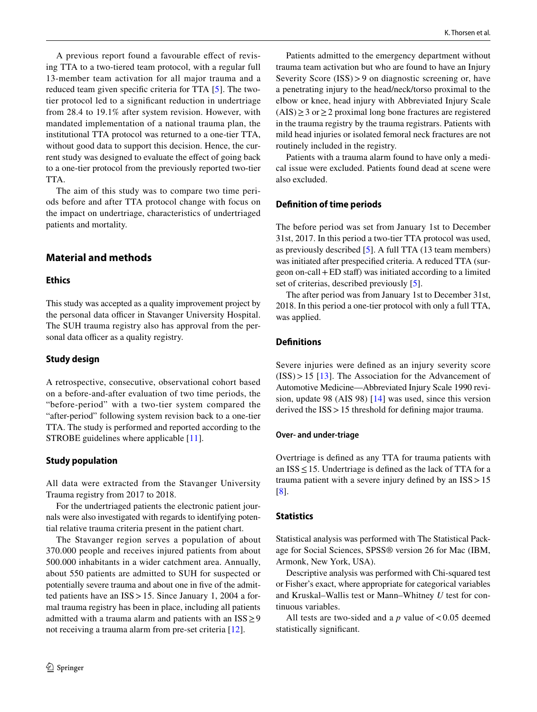A previous report found a favourable efect of revising TTA to a two-tiered team protocol, with a regular full 13-member team activation for all major trauma and a reduced team given specifc criteria for TTA [[5\]](#page-8-3). The twotier protocol led to a signifcant reduction in undertriage from 28.4 to 19.1% after system revision. However, with mandated implementation of a national trauma plan, the institutional TTA protocol was returned to a one-tier TTA, without good data to support this decision. Hence, the current study was designed to evaluate the efect of going back to a one-tier protocol from the previously reported two-tier TTA.

The aim of this study was to compare two time periods before and after TTA protocol change with focus on the impact on undertriage, characteristics of undertriaged patients and mortality.

# **Material and methods**

#### **Ethics**

This study was accepted as a quality improvement project by the personal data officer in Stavanger University Hospital. The SUH trauma registry also has approval from the personal data officer as a quality registry.

### **Study design**

A retrospective, consecutive, observational cohort based on a before-and-after evaluation of two time periods, the "before-period" with a two-tier system compared the "after-period" following system revision back to a one-tier TTA. The study is performed and reported according to the STROBE guidelines where applicable [\[11](#page-8-9)].

#### **Study population**

All data were extracted from the Stavanger University Trauma registry from 2017 to 2018.

For the undertriaged patients the electronic patient journals were also investigated with regards to identifying potential relative trauma criteria present in the patient chart.

The Stavanger region serves a population of about 370.000 people and receives injured patients from about 500.000 inhabitants in a wider catchment area. Annually, about 550 patients are admitted to SUH for suspected or potentially severe trauma and about one in five of the admitted patients have an ISS>15. Since January 1, 2004 a formal trauma registry has been in place, including all patients admitted with a trauma alarm and patients with an  $ISS \geq 9$ not receiving a trauma alarm from pre-set criteria [\[12](#page-8-10)].

Patients admitted to the emergency department without trauma team activation but who are found to have an Injury Severity Score (ISS)>9 on diagnostic screening or, have a penetrating injury to the head/neck/torso proximal to the elbow or knee, head injury with Abbreviated Injury Scale  $(AIS) \ge 3$  or  $\ge 2$  proximal long bone fractures are registered in the trauma registry by the trauma registrars. Patients with mild head injuries or isolated femoral neck fractures are not routinely included in the registry.

Patients with a trauma alarm found to have only a medical issue were excluded. Patients found dead at scene were also excluded.

#### **Defnition of time periods**

The before period was set from January 1st to December 31st, 2017. In this period a two-tier TTA protocol was used, as previously described [[5\]](#page-8-3). A full TTA (13 team members) was initiated after prespecifed criteria. A reduced TTA (surgeon on-call+ED staf) was initiated according to a limited set of criterias, described previously [\[5](#page-8-3)].

The after period was from January 1st to December 31st, 2018. In this period a one-tier protocol with only a full TTA, was applied.

## **Defnitions**

Severe injuries were defned as an injury severity score  $(ISS) > 15$  [[13\]](#page-8-11). The Association for the Advancement of Automotive Medicine—Abbreviated Injury Scale 1990 revision, update 98 (AIS 98) [\[14](#page-8-12)] was used, since this version derived the ISS>15 threshold for defning major trauma.

#### **Over‑ and under‑triage**

Overtriage is defned as any TTA for trauma patients with an  $ISS \leq 15$ . Undertriage is defined as the lack of TTA for a trauma patient with a severe injury defned by an ISS>15 [[8\]](#page-8-6).

#### **Statistics**

Statistical analysis was performed with The Statistical Package for Social Sciences, SPSS® version 26 for Mac (IBM, Armonk, New York, USA).

Descriptive analysis was performed with Chi-squared test or Fisher's exact, where appropriate for categorical variables and Kruskal–Wallis test or Mann–Whitney *U* test for continuous variables.

All tests are two-sided and a  $p$  value of <0.05 deemed statistically signifcant.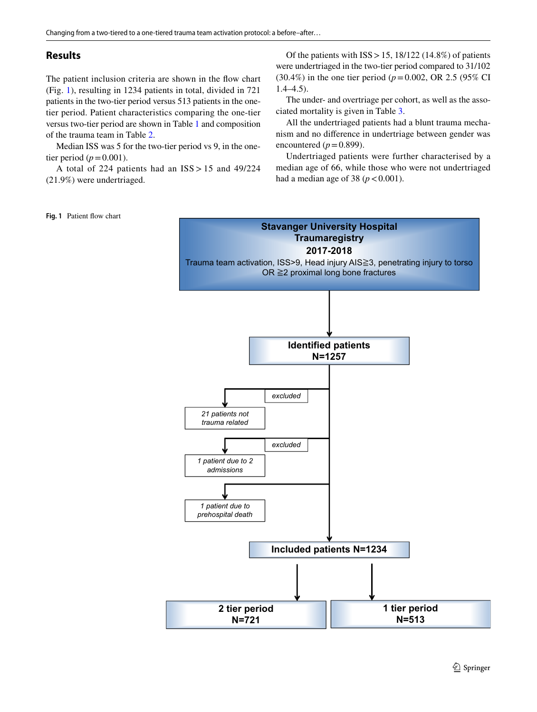## **Results**

The patient inclusion criteria are shown in the flow chart (Fig. [1\)](#page-2-0), resulting in 1234 patients in total, divided in 721 patients in the two-tier period versus 513 patients in the onetier period. Patient characteristics comparing the one-tier versus two-tier period are shown in Table [1](#page-3-0) and composition of the trauma team in Table [2.](#page-3-1)

Median ISS was 5 for the two-tier period vs 9, in the onetier period ( $p = 0.001$ ).

A total of 224 patients had an ISS > 15 and 49/224 (21.9%) were undertriaged.

Of the patients with  $ISS > 15$ ,  $18/122$  (14.8%) of patients were undertriaged in the two-tier period compared to 31/102 (30.4%) in the one tier period (*p*=0.002, OR 2.5 (95% CI  $1.4-4.5$ ).

The under- and overtriage per cohort, as well as the associated mortality is given in Table [3.](#page-3-2)

All the undertriaged patients had a blunt trauma mechanism and no diference in undertriage between gender was encountered  $(p=0.899)$ .

Undertriaged patients were further characterised by a median age of 66, while those who were not undertriaged had a median age of 38 ( $p < 0.001$ ).

#### <span id="page-2-0"></span>**Fig. 1** Patient fow chart

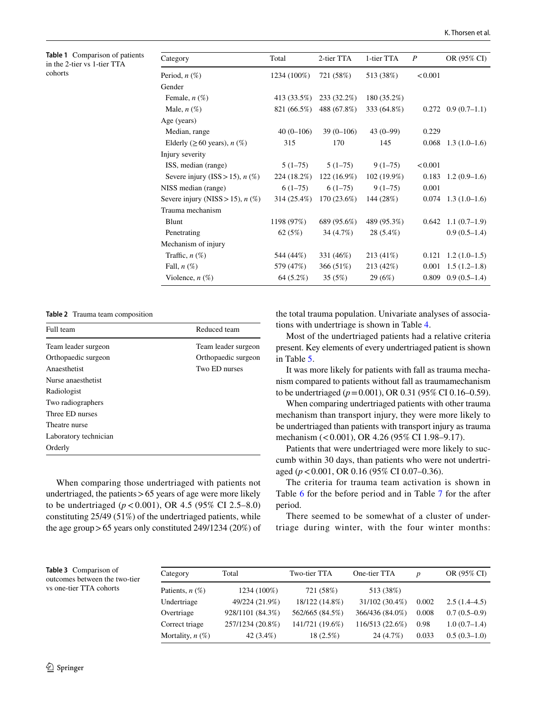<span id="page-3-0"></span>

|         | <b>Table 1</b> Comparison of patients |
|---------|---------------------------------------|
|         | in the 2-tier vs 1-tier TTA           |
| cohorts |                                       |

| Category                           | Total       | 2-tier TTA    | 1-tier TTA    | $\boldsymbol{P}$ | OR (95% CI)                   |
|------------------------------------|-------------|---------------|---------------|------------------|-------------------------------|
| Period, $n$ $(\%)$                 | 1234 (100%) | 721 (58%)     | 513 (38%)     | < 0.001          |                               |
| Gender                             |             |               |               |                  |                               |
| Female, $n$ $(\%)$                 | 413 (33.5%) | 233 (32.2%)   | 180 (35.2%)   |                  |                               |
| Male, $n(\%)$                      | 821 (66.5%) | 488 (67.8%)   | 333 (64.8%)   |                  | $0.272$ $0.9$ $(0.7-1.1)$     |
| Age (years)                        |             |               |               |                  |                               |
| Median, range                      | $40(0-106)$ | $39(0-106)$   | $43(0-99)$    | 0.229            |                               |
| Elderly ( $\geq 60$ years), n (%)  | 315         | 170           | 145           | 0.068            | $1.3(1.0-1.6)$                |
| Injury severity                    |             |               |               |                  |                               |
| ISS, median (range)                | $5(1-75)$   | $5(1-75)$     | $9(1-75)$     | < 0.001          |                               |
| Severe injury (ISS > 15), $n$ (%)  | 224 (18.2%) | $122(16.9\%)$ | $102(19.9\%)$ | 0.183            | $1.2(0.9-1.6)$                |
| NISS median (range)                | $6(1-75)$   | $6(1-75)$     | $9(1-75)$     | 0.001            |                               |
| Severe injury (NISS > 15), $n$ (%) | 314 (25.4%) | $170(23.6\%)$ | 144 (28%)     | 0.074            | $1.3(1.0-1.6)$                |
| Trauma mechanism                   |             |               |               |                  |                               |
| Blunt                              | 1198 (97%)  | 689 (95.6%)   | 489 (95.3%)   |                  | $0.642 \quad 1.1 \ (0.7-1.9)$ |
| Penetrating                        | 62 $(5%)$   | 34 (4.7%)     | 28 (5.4%)     |                  | $0.9(0.5-1.4)$                |
| Mechanism of injury                |             |               |               |                  |                               |
| Traffic, $n$ $(\%)$                | 544 (44%)   | 331 (46%)     | 213 (41%)     | 0.121            | $1.2(1.0-1.5)$                |
| Fall, $n(\%)$                      | 579 (47%)   | 366 (51%)     | 213 (42%)     | 0.001            | $1.5(1.2-1.8)$                |
| Violence, $n(\%)$                  | 64 (5.2%)   | 35(5%)        | 29 (6%)       | 0.809            | $0.9(0.5-1.4)$                |

<span id="page-3-1"></span>**Table 2** Trauma team composition

| Full team             | Reduced team        |
|-----------------------|---------------------|
| Team leader surgeon   | Team leader surgeon |
| Orthopaedic surgeon   | Orthopaedic surgeon |
| Anaesthetist          | Two ED nurses       |
| Nurse anaesthetist    |                     |
| Radiologist           |                     |
| Two radiographers     |                     |
| Three ED nurses       |                     |
| Theatre nurse         |                     |
| Laboratory technician |                     |
| Orderly               |                     |

When comparing those undertriaged with patients not undertriaged, the patients  $> 65$  years of age were more likely to be undertriaged  $(p < 0.001)$ , OR 4.5 (95% CI 2.5–8.0) constituting 25/49 (51%) of the undertriaged patients, while the age group>65 years only constituted 249/1234 (20%) of the total trauma population. Univariate analyses of associations with undertriage is shown in Table [4.](#page-4-0)

Most of the undertriaged patients had a relative criteria present. Key elements of every undertriaged patient is shown in Table [5.](#page-5-0)

It was more likely for patients with fall as trauma mechanism compared to patients without fall as traumamechanism to be undertriaged (*p*=0.001), OR 0.31 (95% CI 0.16–0.59).

When comparing undertriaged patients with other trauma mechanism than transport injury, they were more likely to be undertriaged than patients with transport injury as trauma mechanism (<0.001), OR 4.26 (95% CI 1.98-9.17).

Patients that were undertriaged were more likely to succumb within 30 days, than patients who were not undertriaged (*p*<0.001, OR 0.16 (95% CI 0.07–0.36).

The criteria for trauma team activation is shown in Table [6](#page-6-0) for the before period and in Table [7](#page-7-0) for the after period.

There seemed to be somewhat of a cluster of undertriage during winter, with the four winter months:

<span id="page-3-2"></span>

| Table 3 Comparison of<br>outcomes between the two-tier | Category           | Total            | Two-tier TTA    | One-tier TTA    | $\boldsymbol{D}$ | OR (95% CI)    |
|--------------------------------------------------------|--------------------|------------------|-----------------|-----------------|------------------|----------------|
| vs one-tier TTA cohorts                                | Patients, $n(\%)$  | 1234 (100%)      | 721 (58%)       | 513 (38%)       |                  |                |
|                                                        | Undertriage        | 49/224 (21.9%)   | 18/122 (14.8%)  | 31/102 (30.4%)  | 0.002            | $2.5(1.4-4.5)$ |
|                                                        | Overtriage         | 928/1101 (84.3%) | 562/665 (84.5%) | 366/436 (84.0%) | 0.008            | $0.7(0.5-0.9)$ |
|                                                        | Correct triage     | 257/1234 (20.8%) | 141/721 (19.6%) | 116/513 (22.6%) | 0.98             | $1.0(0.7-1.4)$ |
|                                                        | Mortality, $n(\%)$ | $42(3.4\%)$      | 18 (2.5%)       | 24 (4.7%)       | 0.033            | $0.5(0.3-1.0)$ |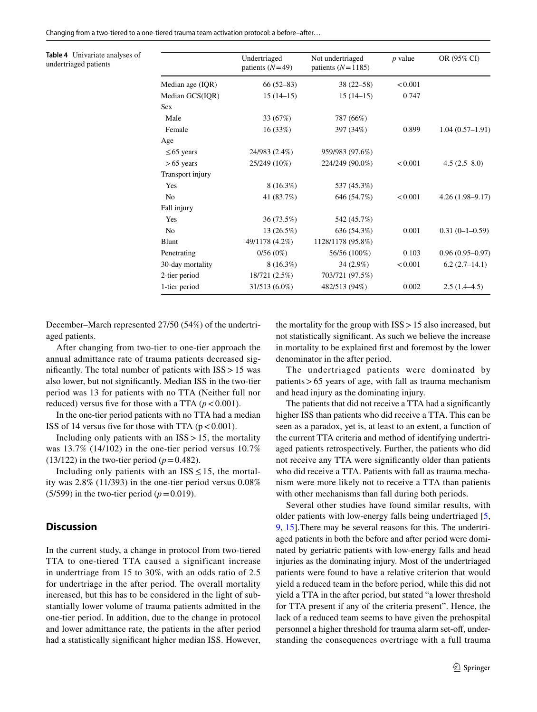Changing from a two-tiered to a one-tiered trauma team activation protocol: a before–after…

<span id="page-4-0"></span>**Table 4** Univariate analyses of undertriaged patients

|                  | Undertriaged<br>patients $(N=49)$ | Not undertriaged<br>patients $(N=1185)$ | $p$ value | OR (95% CI)         |
|------------------|-----------------------------------|-----------------------------------------|-----------|---------------------|
| Median age (IQR) | $66(52-83)$                       | $38(22 - 58)$                           | < 0.001   |                     |
| Median GCS(IQR)  | $15(14-15)$                       | $15(14-15)$                             | 0.747     |                     |
| <b>Sex</b>       |                                   |                                         |           |                     |
| Male             | 33 (67%)                          | 787 (66%)                               |           |                     |
| Female           | 16(33%)                           | 397 (34%)                               | 0.899     | $1.04(0.57-1.91)$   |
| Age              |                                   |                                         |           |                     |
| $\leq 65$ years  | 24/983 (2.4%)                     | 959/983 (97.6%)                         |           |                     |
| $> 65$ years     | 25/249 (10%)                      | 224/249 (90.0%)                         | < 0.001   | $4.5(2.5-8.0)$      |
| Transport injury |                                   |                                         |           |                     |
| Yes              | $8(16.3\%)$                       | 537 (45.3%)                             |           |                     |
| N <sub>0</sub>   | 41 (83.7%)                        | 646 (54.7%)                             | < 0.001   | $4.26(1.98-9.17)$   |
| Fall injury      |                                   |                                         |           |                     |
| Yes              | 36 (73.5%)                        | 542 (45.7%)                             |           |                     |
| N <sub>0</sub>   | 13(26.5%)                         | 636 (54.3%)                             | 0.001     | $0.31(0-1-0.59)$    |
| Blunt            | 49/1178 (4.2%)                    | 1128/1178 (95.8%)                       |           |                     |
| Penetrating      | 0/56(0%)                          | 56/56 (100%)                            | 0.103     | $0.96(0.95 - 0.97)$ |
| 30-day mortality | $8(16.3\%)$                       | 34 (2.9%)                               | < 0.001   | $6.2(2.7-14.1)$     |
| 2-tier period    | 18/721 (2.5%)                     | 703/721 (97.5%)                         |           |                     |
| 1-tier period    | 31/513 (6.0%)                     | 482/513 (94%)                           | 0.002     | $2.5(1.4-4.5)$      |

December–March represented 27/50 (54%) of the undertriaged patients.

After changing from two-tier to one-tier approach the annual admittance rate of trauma patients decreased signifcantly. The total number of patients with ISS>15 was also lower, but not signifcantly. Median ISS in the two-tier period was 13 for patients with no TTA (Neither full nor reduced) versus five for those with a TTA  $(p < 0.001)$ .

In the one-tier period patients with no TTA had a median ISS of 14 versus five for those with TTA  $(p < 0.001)$ .

Including only patients with an  $ISS > 15$ , the mortality was 13.7% (14/102) in the one-tier period versus 10.7%  $(13/122)$  in the two-tier period  $(p=0.482)$ .

Including only patients with an  $ISS \leq 15$ , the mortality was 2.8% (11/393) in the one-tier period versus 0.08% (5/599) in the two-tier period ( $p=0.019$ ).

#### **Discussion**

In the current study, a change in protocol from two-tiered TTA to one-tiered TTA caused a significant increase in undertriage from 15 to 30%, with an odds ratio of 2.5 for undertriage in the after period. The overall mortality increased, but this has to be considered in the light of substantially lower volume of trauma patients admitted in the one-tier period. In addition, due to the change in protocol and lower admittance rate, the patients in the after period had a statistically signifcant higher median ISS. However,

the mortality for the group with  $ISS > 15$  also increased, but not statistically signifcant. As such we believe the increase in mortality to be explained frst and foremost by the lower denominator in the after period.

The undertriaged patients were dominated by patients>65 years of age, with fall as trauma mechanism and head injury as the dominating injury.

The patients that did not receive a TTA had a signifcantly higher ISS than patients who did receive a TTA. This can be seen as a paradox, yet is, at least to an extent, a function of the current TTA criteria and method of identifying undertriaged patients retrospectively. Further, the patients who did not receive any TTA were signifcantly older than patients who did receive a TTA. Patients with fall as trauma mechanism were more likely not to receive a TTA than patients with other mechanisms than fall during both periods.

Several other studies have found similar results, with older patients with low-energy falls being undertriaged [[5,](#page-8-3) [9](#page-8-7), [15\]](#page-8-13).There may be several reasons for this. The undertriaged patients in both the before and after period were dominated by geriatric patients with low-energy falls and head injuries as the dominating injury. Most of the undertriaged patients were found to have a relative criterion that would yield a reduced team in the before period, while this did not yield a TTA in the after period, but stated "a lower threshold for TTA present if any of the criteria present". Hence, the lack of a reduced team seems to have given the prehospital personnel a higher threshold for trauma alarm set-off, understanding the consequences overtriage with a full trauma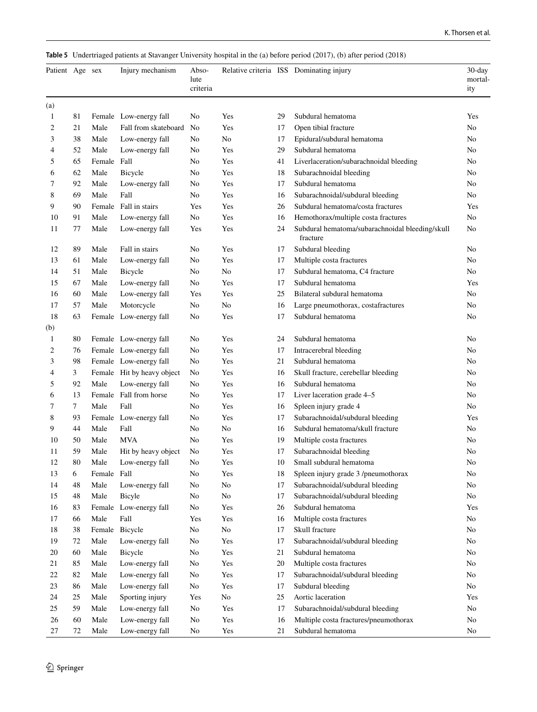<span id="page-5-0"></span>**Table 5** Undertriaged patients at Stavanger University hospital in the (a) before period (2017), (b) after period (2018)

| Patient Age sex |    |             | Injury mechanism           | Abso-<br>lute<br>criteria |          |    | Relative criteria ISS Dominating injury                     | $30$ -day<br>mortal-<br>ity |
|-----------------|----|-------------|----------------------------|---------------------------|----------|----|-------------------------------------------------------------|-----------------------------|
| (a)             |    |             |                            |                           |          |    |                                                             |                             |
| 1               | 81 |             | Female Low-energy fall     | No                        | Yes      | 29 | Subdural hematoma                                           | Yes                         |
| 2               | 21 | Male        | Fall from skateboard       | No                        | Yes      | 17 | Open tibial fracture                                        | No                          |
| 3               | 38 | Male        | Low-energy fall            | No                        | No       | 17 | Epidural/subdural hematoma                                  | No                          |
| 4               | 52 | Male        | Low-energy fall            | No                        | Yes      | 29 | Subdural hematoma                                           | No                          |
| 5               | 65 | Female      | Fall                       | No                        | Yes      | 41 | Liverlaceration/subarachnoidal bleeding                     | No                          |
| 6               | 62 | Male        | Bicycle                    | No                        | Yes      | 18 | Subarachnoidal bleeding                                     | No                          |
| 7               | 92 | Male        | Low-energy fall            | No                        | Yes      | 17 | Subdural hematoma                                           | No                          |
| 8               | 69 | Male        | Fall                       | No                        | Yes      | 16 | Subarachnoidal/subdural bleeding                            | No                          |
| 9               | 90 | Female      | Fall in stairs             | Yes                       | Yes      | 26 | Subdural hematoma/costa fractures                           | Yes                         |
| 10              | 91 | Male        | Low-energy fall            | No                        | Yes      | 16 | Hemothorax/multiple costa fractures                         | No                          |
| 11              | 77 | Male        | Low-energy fall            | Yes                       | Yes      | 24 | Subdural hematoma/subarachnoidal bleeding/skull<br>fracture | No                          |
| 12              | 89 | Male        | Fall in stairs             | No                        | Yes      | 17 | Subdural bleeding                                           | No                          |
| 13              | 61 | Male        | Low-energy fall            | No                        | Yes      | 17 | Multiple costa fractures                                    | No                          |
| 14              | 51 | Male        | Bicycle                    | No                        | No       | 17 | Subdural hematoma, C4 fracture                              | No                          |
| 15              | 67 | Male        | Low-energy fall            | No                        | Yes      | 17 | Subdural hematoma                                           | Yes                         |
| 16              | 60 | Male        | Low-energy fall            | Yes                       | Yes      | 25 | Bilateral subdural hematoma                                 | No                          |
| 17              | 57 | Male        | Motorcycle                 | N <sub>o</sub>            | No       | 16 | Large pneumothorax, costafractures                          | No                          |
| 18              | 63 |             | Female Low-energy fall     | No                        | Yes      | 17 | Subdural hematoma                                           | No                          |
| (b)             |    |             |                            |                           |          |    |                                                             |                             |
| 1               | 80 |             | Female Low-energy fall     | No                        | Yes      | 24 | Subdural hematoma                                           | No                          |
| 2               | 76 |             | Female Low-energy fall     | No                        | Yes      | 17 | Intracerebral bleeding                                      | No                          |
| 3               | 98 |             | Female Low-energy fall     | No                        | Yes      | 21 | Subdural hematoma                                           | No                          |
| 4               | 3  |             | Female Hit by heavy object | No                        | Yes      | 16 | Skull fracture, cerebellar bleeding                         | No                          |
| 5               | 92 | Male        | Low-energy fall            | No                        | Yes      | 16 | Subdural hematoma                                           | No                          |
| 6               | 13 |             | Female Fall from horse     | No                        | Yes      | 17 | Liver laceration grade 4-5                                  | No                          |
| 7               | 7  | Male        | Fall                       | No                        | Yes      | 16 | Spleen injury grade 4                                       | No                          |
| 8               | 93 |             | Female Low-energy fall     | No                        | Yes      | 17 | Subarachnoidal/subdural bleeding                            | Yes                         |
| 9               | 44 | Male        | Fall                       | No                        | No       | 16 | Subdural hematoma/skull fracture                            | No                          |
| 10              | 50 | Male        | <b>MVA</b>                 | No                        | Yes      | 19 | Multiple costa fractures                                    | No                          |
| 11              | 59 | Male        | Hit by heavy object        | No                        | Yes      | 17 | Subarachnoidal bleeding                                     | No                          |
| 12              | 80 | Male        | Low-energy fall            | No                        | Yes      | 10 | Small subdural hematoma                                     | No                          |
| 13              | 6  | Female Fall |                            | No                        | Yes      | 18 | Spleen injury grade 3 /pneumothorax                         | N <sub>0</sub>              |
| 14              | 48 | Male        | Low-energy fall            | No                        | $\rm No$ | 17 | Subarachnoidal/subdural bleeding                            | No                          |
| 15              | 48 | Male        | Bicyle                     | No                        | No       | 17 | Subarachnoidal/subdural bleeding                            | No                          |
| 16              | 83 |             | Female Low-energy fall     | No                        | Yes      | 26 | Subdural hematoma                                           | Yes                         |
| 17              | 66 | Male        | Fall                       | Yes                       | Yes      | 16 | Multiple costa fractures                                    | No                          |
| 18              | 38 | Female      | Bicycle                    | No                        | No       | 17 | Skull fracture                                              | No                          |
| 19              | 72 | Male        | Low-energy fall            | No                        | Yes      | 17 | Subarachnoidal/subdural bleeding                            | No                          |
| 20              | 60 | Male        | Bicycle                    | No                        | Yes      | 21 | Subdural hematoma                                           | No                          |
| 21              | 85 | Male        | Low-energy fall            | No                        | Yes      | 20 | Multiple costa fractures                                    | No                          |
| 22              | 82 | Male        | Low-energy fall            | No                        | Yes      | 17 | Subarachnoidal/subdural bleeding                            | N <sub>0</sub>              |
| 23              | 86 | Male        | Low-energy fall            | No                        | Yes      | 17 | Subdural bleeding                                           | No                          |
| 24              | 25 | Male        | Sporting injury            | Yes                       | No       | 25 | Aortic laceration                                           | Yes                         |
| 25              | 59 | Male        | Low-energy fall            | N <sub>0</sub>            | Yes      | 17 | Subarachnoidal/subdural bleeding                            | N <sub>o</sub>              |
| 26              | 60 | Male        | Low-energy fall            | N <sub>0</sub>            | Yes      | 16 | Multiple costa fractures/pneumothorax                       | N <sub>o</sub>              |
| 27              | 72 | Male        | Low-energy fall            | No                        | Yes      | 21 | Subdural hematoma                                           | No                          |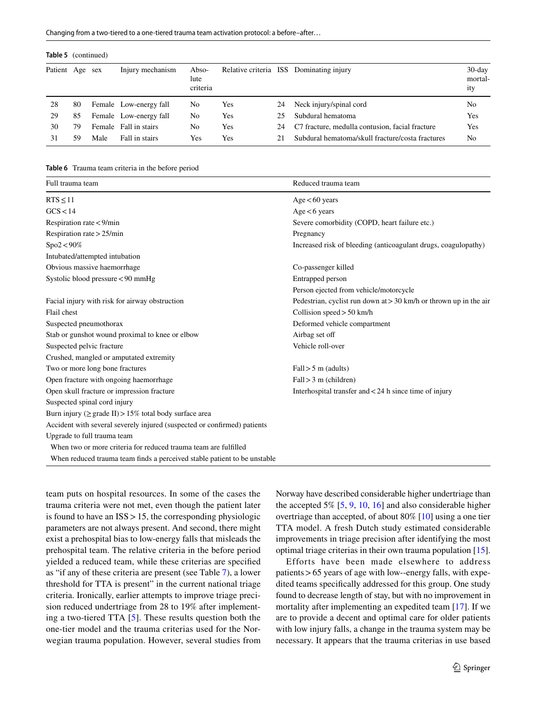Changing from a two-tiered to a one-tiered trauma team activation protocol: a before–after…

| <b>Table 5</b> (continued) |    |      |                        |                           |     |    |                                                  |                             |
|----------------------------|----|------|------------------------|---------------------------|-----|----|--------------------------------------------------|-----------------------------|
| Patient Age sex            |    |      | Injury mechanism       | Abso-<br>lute<br>criteria |     |    | Relative criteria ISS Dominating injury          | $30$ -day<br>mortal-<br>ity |
| 28                         | 80 |      | Female Low-energy fall | No                        | Yes | 24 | Neck injury/spinal cord                          | No                          |
| 29                         | 85 |      | Female Low-energy fall | No                        | Yes | 25 | Subdural hematoma                                | Yes                         |
| 30                         | 79 |      | Female Fall in stairs  | No                        | Yes | 24 | C7 fracture, medulla contusion, facial fracture  | Yes                         |
| 31                         | 59 | Male | Fall in stairs         | Yes                       | Yes | 21 | Subdural hematoma/skull fracture/costa fractures | N <sub>0</sub>              |

#### <span id="page-6-0"></span>**Table 6** Trauma team criteria in the before period

| Full trauma team                                                         | Reduced trauma team                                                 |
|--------------------------------------------------------------------------|---------------------------------------------------------------------|
| $RTS \leq 11$                                                            | $Age < 60$ years                                                    |
| GCS < 14                                                                 | $Age < 6$ years                                                     |
| Respiration rate < 9/min                                                 | Severe comorbidity (COPD, heart failure etc.)                       |
| Respiration rate $> 25$ /min                                             | Pregnancy                                                           |
| $Spo2 < 90\%$                                                            | Increased risk of bleeding (anticoagulant drugs, coagulopathy)      |
| Intubated/attempted intubation                                           |                                                                     |
| Obvious massive haemorrhage                                              | Co-passenger killed                                                 |
| Systolic blood pressure <90 mmHg                                         | Entrapped person                                                    |
|                                                                          | Person ejected from vehicle/motorcycle                              |
| Facial injury with risk for airway obstruction                           | Pedestrian, cyclist run down at $>$ 30 km/h or thrown up in the air |
| Flail chest                                                              | Collision speed $> 50$ km/h                                         |
| Suspected pneumothorax                                                   | Deformed vehicle compartment                                        |
| Stab or gunshot wound proximal to knee or elbow                          | Airbag set off                                                      |
| Suspected pelvic fracture                                                | Vehicle roll-over                                                   |
| Crushed, mangled or amputated extremity                                  |                                                                     |
| Two or more long bone fractures                                          | Fall > 5 m (adults)                                                 |
| Open fracture with ongoing haemorrhage                                   | Fall > 3 m (children)                                               |
| Open skull fracture or impression fracture                               | Interhospital transfer and $<$ 24 h since time of injury            |
| Suspected spinal cord injury                                             |                                                                     |
| Burn injury ( $\geq$ grade II) > 15% total body surface area             |                                                                     |
| Accident with several severely injured (suspected or confirmed) patients |                                                                     |
| Upgrade to full trauma team                                              |                                                                     |
| When two or more criteria for reduced trauma team are fulfilled          |                                                                     |
| When reduced trauma team finds a perceived stable patient to be unstable |                                                                     |

team puts on hospital resources. In some of the cases the trauma criteria were not met, even though the patient later is found to have an  $ISS > 15$ , the corresponding physiologic parameters are not always present. And second, there might exist a prehospital bias to low-energy falls that misleads the prehospital team. The relative criteria in the before period yielded a reduced team, while these criterias are specifed as "if any of these criteria are present (see Table [7\)](#page-7-0), a lower threshold for TTA is present" in the current national triage criteria. Ironically, earlier attempts to improve triage precision reduced undertriage from 28 to 19% after implementing a two-tiered TTA [[5\]](#page-8-3). These results question both the one-tier model and the trauma criterias used for the Norwegian trauma population. However, several studies from Norway have described considerable higher undertriage than the accepted  $5\%$  [\[5,](#page-8-3) [9,](#page-8-7) [10,](#page-8-8) [16\]](#page-8-14) and also considerable higher overtriage than accepted, of about 80% [\[10](#page-8-8)] using a one tier TTA model. A fresh Dutch study estimated considerable improvements in triage precision after identifying the most optimal triage criterias in their own trauma population [\[15](#page-8-13)].

Efforts have been made elsewhere to address patients>65 years of age with low--energy falls, with expedited teams specifcally addressed for this group. One study found to decrease length of stay, but with no improvement in mortality after implementing an expedited team [[17](#page-8-15)]. If we are to provide a decent and optimal care for older patients with low injury falls, a change in the trauma system may be necessary. It appears that the trauma criterias in use based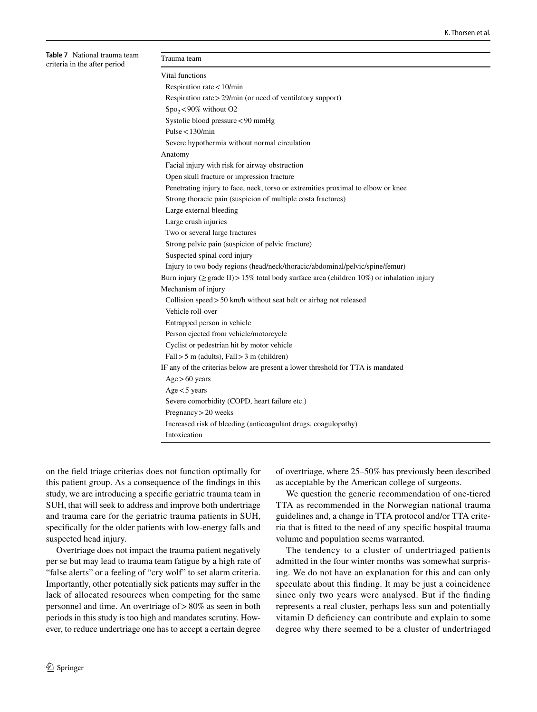<span id="page-7-0"></span>**Table 7** National trauma team criteria in the after period

| Trauma team                                                                                      |  |
|--------------------------------------------------------------------------------------------------|--|
| Vital functions                                                                                  |  |
| Respiration rate $<$ 10/min                                                                      |  |
| Respiration rate > 29/min (or need of ventilatory support)                                       |  |
| $Spo_2<90\%$ without O2                                                                          |  |
| Systolic blood pressure < 90 mmHg                                                                |  |
| Pulse $<$ 130/min                                                                                |  |
| Severe hypothermia without normal circulation                                                    |  |
| Anatomy                                                                                          |  |
| Facial injury with risk for airway obstruction                                                   |  |
| Open skull fracture or impression fracture                                                       |  |
| Penetrating injury to face, neck, torso or extremities proximal to elbow or knee                 |  |
| Strong thoracic pain (suspicion of multiple costa fractures)                                     |  |
| Large external bleeding                                                                          |  |
| Large crush injuries                                                                             |  |
| Two or several large fractures                                                                   |  |
| Strong pelvic pain (suspicion of pelvic fracture)                                                |  |
| Suspected spinal cord injury                                                                     |  |
| Injury to two body regions (head/neck/thoracic/abdominal/pelvic/spine/femur)                     |  |
| Burn injury ( $\geq$ grade II) > 15% total body surface area (children 10%) or inhalation injury |  |
| Mechanism of injury                                                                              |  |
| Collision speed $> 50$ km/h without seat belt or airbag not released                             |  |
| Vehicle roll-over                                                                                |  |
| Entrapped person in vehicle                                                                      |  |
| Person ejected from vehicle/motorcycle                                                           |  |
| Cyclist or pedestrian hit by motor vehicle                                                       |  |
| $Fall > 5$ m (adults), $Fall > 3$ m (children)                                                   |  |
| IF any of the criterias below are present a lower threshold for TTA is mandated                  |  |
| Age > 60 years                                                                                   |  |
| Age < 5 years                                                                                    |  |
| Severe comorbidity (COPD, heart failure etc.)                                                    |  |
| $P$ regnancy > 20 weeks                                                                          |  |
| Increased risk of bleeding (anticoagulant drugs, coagulopathy)                                   |  |
| Intoxication                                                                                     |  |

on the feld triage criterias does not function optimally for this patient group. As a consequence of the fndings in this study, we are introducing a specifc geriatric trauma team in SUH, that will seek to address and improve both undertriage and trauma care for the geriatric trauma patients in SUH, specifcally for the older patients with low-energy falls and suspected head injury.

Overtriage does not impact the trauma patient negatively per se but may lead to trauma team fatigue by a high rate of "false alerts" or a feeling of "cry wolf" to set alarm criteria. Importantly, other potentially sick patients may sufer in the lack of allocated resources when competing for the same personnel and time. An overtriage of>80% as seen in both periods in this study is too high and mandates scrutiny. However, to reduce undertriage one has to accept a certain degree of overtriage, where 25–50% has previously been described as acceptable by the American college of surgeons.

We question the generic recommendation of one-tiered TTA as recommended in the Norwegian national trauma guidelines and, a change in TTA protocol and/or TTA criteria that is ftted to the need of any specifc hospital trauma volume and population seems warranted.

The tendency to a cluster of undertriaged patients admitted in the four winter months was somewhat surprising. We do not have an explanation for this and can only speculate about this fnding. It may be just a coincidence since only two years were analysed. But if the fnding represents a real cluster, perhaps less sun and potentially vitamin D defciency can contribute and explain to some degree why there seemed to be a cluster of undertriaged